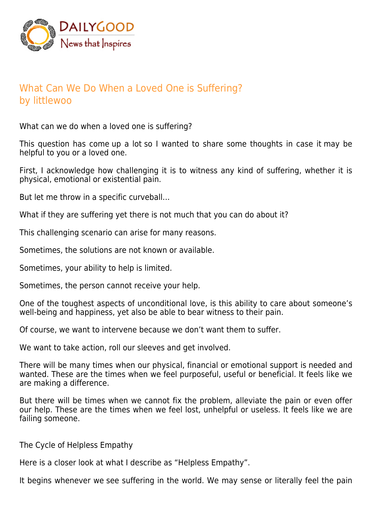

## What Can We Do When a Loved One is Suffering? by littlewoo

What can we do when a loved one is suffering?

This question has come up a lot so I wanted to share some thoughts in case it may be helpful to you or a loved one.

First, I acknowledge how challenging it is to witness any kind of suffering, whether it is physical, emotional or existential pain.

But let me throw in a specific curveball…

What if they are suffering yet there is not much that you can do about it?

This challenging scenario can arise for many reasons.

Sometimes, the solutions are not known or available.

Sometimes, your ability to help is limited.

Sometimes, the person cannot receive your help.

One of the toughest aspects of unconditional love, is this ability to care about someone's well-being and happiness, yet also be able to bear witness to their pain.

Of course, we want to intervene because we don't want them to suffer.

We want to take action, roll our sleeves and get involved.

There will be many times when our physical, financial or emotional support is needed and wanted. These are the times when we feel purposeful, useful or beneficial. It feels like we are making a difference.

But there will be times when we cannot fix the problem, alleviate the pain or even offer our help. These are the times when we feel lost, unhelpful or useless. It feels like we are failing someone.

The Cycle of Helpless Empathy

Here is a closer look at what I describe as "Helpless Empathy".

It begins whenever we see suffering in the world. We may sense or literally feel the pain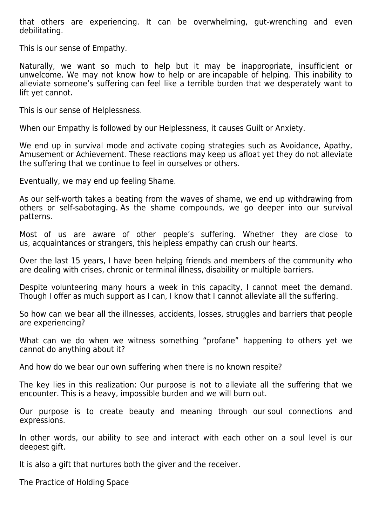that others are experiencing. It can be overwhelming, gut-wrenching and even debilitating.

This is our sense of Empathy.

Naturally, we want so much to help but it may be inappropriate, insufficient or unwelcome. We may not know how to help or are incapable of helping. This inability to alleviate someone's suffering can feel like a terrible burden that we desperately want to lift yet cannot.

This is our sense of Helplessness.

When our Empathy is followed by our Helplessness, it causes Guilt or Anxiety.

We end up in survival mode and activate coping strategies such as Avoidance, Apathy, Amusement or Achievement. These reactions may keep us afloat yet they do not alleviate the suffering that we continue to feel in ourselves or others.

Eventually, we may end up feeling Shame.

As our self-worth takes a beating from the waves of shame, we end up withdrawing from others or self-sabotaging. As the shame compounds, we go deeper into our survival patterns.

Most of us are aware of other people's suffering. Whether they are close to us, acquaintances or strangers, this helpless empathy can crush our hearts.

Over the last 15 years, I have been helping friends and members of the community who are dealing with crises, chronic or terminal illness, disability or multiple barriers.

Despite volunteering many hours a week in this capacity, I cannot meet the demand. Though I offer as much support as I can, I know that I cannot alleviate all the suffering.

So how can we bear all the illnesses, accidents, losses, struggles and barriers that people are experiencing?

What can we do when we witness something "profane" happening to others yet we cannot do anything about it?

And how do we bear our own suffering when there is no known respite?

The key lies in this realization: Our purpose is not to alleviate all the suffering that we encounter. This is a heavy, impossible burden and we will burn out.

Our purpose is to create beauty and meaning through our soul connections and expressions.

In other words, our ability to see and interact with each other on a soul level is our deepest gift.

It is also a gift that nurtures both the giver and the receiver.

The Practice of Holding Space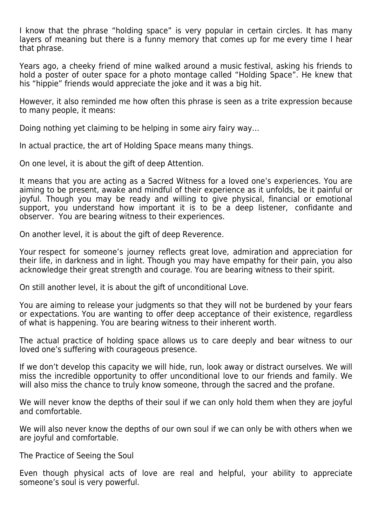I know that the phrase "holding space" is very popular in certain circles. It has many layers of meaning but there is a funny memory that comes up for me every time I hear that phrase.

Years ago, a cheeky friend of mine walked around a music festival, asking his friends to hold a poster of outer space for a photo montage called "Holding Space". He knew that his "hippie" friends would appreciate the joke and it was a big hit.

However, it also reminded me how often this phrase is seen as a trite expression because to many people, it means:

Doing nothing yet claiming to be helping in some airy fairy way…

In actual practice, the art of Holding Space means many things.

On one level, it is about the gift of deep Attention.

It means that you are acting as a Sacred Witness for a loved one's experiences. You are aiming to be present, awake and mindful of their experience as it unfolds, be it painful or joyful. Though you may be ready and willing to give physical, financial or emotional support, you understand how important it is to be a deep listener, confidante and observer. You are bearing witness to their experiences.

On another level, it is about the gift of deep Reverence.

Your respect for someone's journey reflects great love, admiration and appreciation for their life, in darkness and in light. Though you may have empathy for their pain, you also acknowledge their great strength and courage. You are bearing witness to their spirit.

On still another level, it is about the gift of unconditional Love.

You are aiming to release your judgments so that they will not be burdened by your fears or expectations. You are wanting to offer deep acceptance of their existence, regardless of what is happening. You are bearing witness to their inherent worth.

The actual practice of holding space allows us to care deeply and bear witness to our loved one's suffering with courageous presence.

If we don't develop this capacity we will hide, run, look away or distract ourselves. We will miss the incredible opportunity to offer unconditional love to our friends and family. We will also miss the chance to truly know someone, through the sacred and the profane.

We will never know the depths of their soul if we can only hold them when they are joyful and comfortable.

We will also never know the depths of our own soul if we can only be with others when we are joyful and comfortable.

The Practice of Seeing the Soul

Even though physical acts of love are real and helpful, your ability to appreciate someone's soul is very powerful.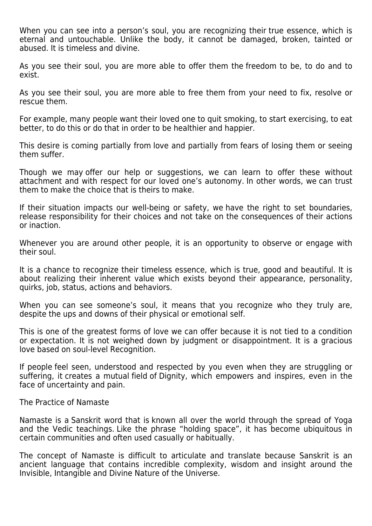When you can see into a person's soul, you are recognizing their true essence, which is eternal and untouchable. Unlike the body, it cannot be damaged, broken, tainted or abused. It is timeless and divine.

As you see their soul, you are more able to offer them the freedom to be, to do and to exist.

As you see their soul, you are more able to free them from your need to fix, resolve or rescue them.

For example, many people want their loved one to quit smoking, to start exercising, to eat better, to do this or do that in order to be healthier and happier.

This desire is coming partially from love and partially from fears of losing them or seeing them suffer.

Though we may offer our help or suggestions, we can learn to offer these without attachment and with respect for our loved one's autonomy. In other words, we can trust them to make the choice that is theirs to make.

If their situation impacts our well-being or safety, we have the right to set boundaries, release responsibility for their choices and not take on the consequences of their actions or inaction.

Whenever you are around other people, it is an opportunity to observe or engage with their soul.

It is a chance to recognize their timeless essence, which is true, good and beautiful. It is about realizing their inherent value which exists beyond their appearance, personality, quirks, job, status, actions and behaviors.

When you can see someone's soul, it means that you recognize who they truly are, despite the ups and downs of their physical or emotional self.

This is one of the greatest forms of love we can offer because it is not tied to a condition or expectation. It is not weighed down by judgment or disappointment. It is a gracious love based on soul-level Recognition.

If people feel seen, understood and respected by you even when they are struggling or suffering, it creates a mutual field of Dignity, which empowers and inspires, even in the face of uncertainty and pain.

The Practice of Namaste

Namaste is a Sanskrit word that is known all over the world through the spread of Yoga and the Vedic teachings. Like the phrase "holding space", it has become ubiquitous in certain communities and often used casually or habitually.

The concept of Namaste is difficult to articulate and translate because Sanskrit is an ancient language that contains incredible complexity, wisdom and insight around the Invisible, Intangible and Divine Nature of the Universe.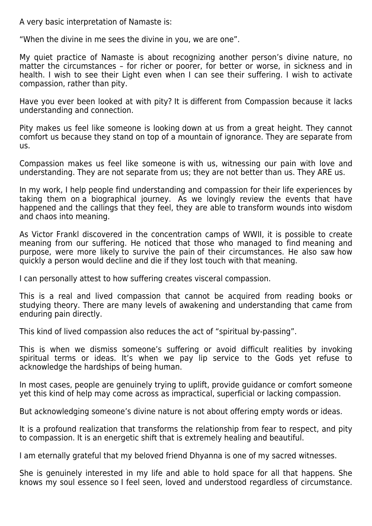A very basic interpretation of Namaste is:

"When the divine in me sees the divine in you, we are one".

My quiet practice of Namaste is about recognizing another person's divine nature, no matter the circumstances – for richer or poorer, for better or worse, in sickness and in health. I wish to see their Light even when I can see their suffering. I wish to activate compassion, rather than pity.

Have you ever been looked at with pity? It is different from Compassion because it lacks understanding and connection.

Pity makes us feel like someone is looking down at us from a great height. They cannot comfort us because they stand on top of a mountain of ignorance. They are separate from us.

Compassion makes us feel like someone is with us, witnessing our pain with love and understanding. They are not separate from us; they are not better than us. They ARE us.

In my work, I help people find understanding and compassion for their life experiences by taking them on a biographical journey. As we lovingly review the events that have happened and the callings that they feel, they are able to transform wounds into wisdom and chaos into meaning.

As Victor Frankl discovered in the concentration camps of WWII, it is possible to create meaning from our suffering. He noticed that those who managed to find meaning and purpose, were more likely to survive the pain of their circumstances. He also saw how quickly a person would decline and die if they lost touch with that meaning.

I can personally attest to how suffering creates visceral compassion.

This is a real and lived compassion that cannot be acquired from reading books or studying theory. There are many levels of awakening and understanding that came from enduring pain directly.

This kind of lived compassion also reduces the act of "spiritual by-passing".

This is when we dismiss someone's suffering or avoid difficult realities by invoking spiritual terms or ideas. It's when we pay lip service to the Gods yet refuse to acknowledge the hardships of being human.

In most cases, people are genuinely trying to uplift, provide guidance or comfort someone yet this kind of help may come across as impractical, superficial or lacking compassion.

But acknowledging someone's divine nature is not about offering empty words or ideas.

It is a profound realization that transforms the relationship from fear to respect, and pity to compassion. It is an energetic shift that is extremely healing and beautiful.

I am eternally grateful that my beloved friend Dhyanna is one of my sacred witnesses.

She is genuinely interested in my life and able to hold space for all that happens. She knows my soul essence so I feel seen, loved and understood regardless of circumstance.